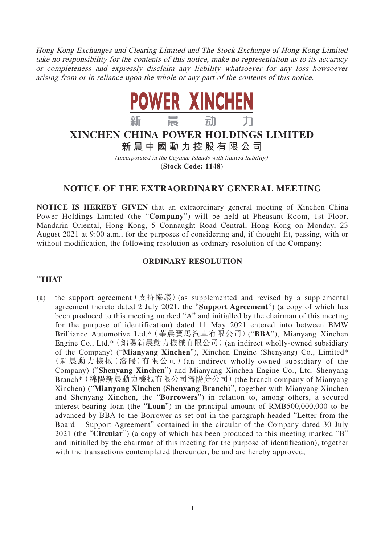Hong Kong Exchanges and Clearing Limited and The Stock Exchange of Hong Kong Limited take no responsibility for the contents of this notice, make no representation as to its accuracy or completeness and expressly disclaim any liability whatsoever for any loss howsoever arising from or in reliance upon the whole or any part of the contents of this notice.



# **XINCHEN CHINA POWER HOLDINGS LIMITED 新晨中國動力控股有限公 司**

(Incorporated in the Cayman Islands with limited liability) **(Stock Code: 1148)**

## **NOTICE OF THE EXTRAORDINARY GENERAL MEETING**

**NOTICE IS HEREBY GIVEN** that an extraordinary general meeting of Xinchen China Power Holdings Limited (the "**Company**") will be held at Pheasant Room, 1st Floor, Mandarin Oriental, Hong Kong, 5 Connaught Road Central, Hong Kong on Monday, 23 August 2021 at 9:00 a.m., for the purposes of considering and, if thought fit, passing, with or without modification, the following resolution as ordinary resolution of the Company:

### **ORDINARY RESOLUTION**

#### "**THAT**

(a) the support agreement  $($  支持協議) (as supplemented and revised by a supplemental agreement thereto dated 2 July 2021, the "**Support Agreement**") (a copy of which has been produced to this meeting marked "A" and initialled by the chairman of this meeting for the purpose of identification) dated 11 May 2021 entered into between BMW Brilliance Automotive Ltd.\*(華晨寶馬汽車有限公司)("**BBA**"), Mianyang Xinchen Engine Co., Ltd.\*(綿陽新晨動力機械有限公司)(an indirect wholly-owned subsidiary of the Company) ("**Mianyang Xinchen**"), Xinchen Engine (Shenyang) Co., Limited\* (新晨動力機械(瀋陽)有限公司)(an indirect wholly-owned subsidiary of the Company) ("**Shenyang Xinchen**") and Mianyang Xinchen Engine Co., Ltd. Shenyang Branch\*(綿陽新晨動力機械有限公司瀋陽分公司)(the branch company of Mianyang Xinchen) ("**Mianyang Xinchen (Shenyang Branch**)", together with Mianyang Xinchen and Shenyang Xinchen, the "**Borrowers**") in relation to, among others, a secured interest-bearing loan (the "**Loan**") in the principal amount of RMB500,000,000 to be advanced by BBA to the Borrower as set out in the paragraph headed "Letter from the Board – Support Agreement" contained in the circular of the Company dated 30 July 2021 (the "**Circular**") (a copy of which has been produced to this meeting marked "B" and initialled by the chairman of this meeting for the purpose of identification), together with the transactions contemplated thereunder, be and are hereby approved;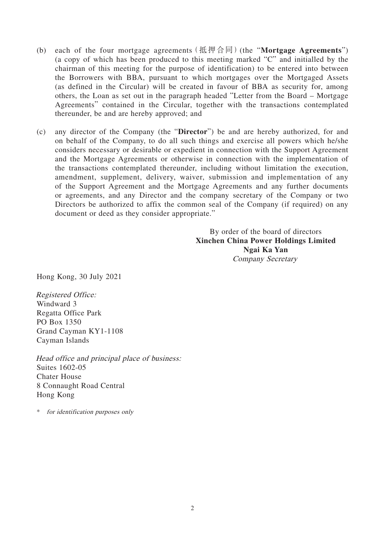- (b) each of the four mortgage agreements(抵押合同)(the "**Mortgage Agreements**") (a copy of which has been produced to this meeting marked "C" and initialled by the chairman of this meeting for the purpose of identification) to be entered into between the Borrowers with BBA, pursuant to which mortgages over the Mortgaged Assets (as defined in the Circular) will be created in favour of BBA as security for, among others, the Loan as set out in the paragraph headed "Letter from the Board – Mortgage Agreements" contained in the Circular, together with the transactions contemplated thereunder, be and are hereby approved; and
- (c) any director of the Company (the "**Director**") be and are hereby authorized, for and on behalf of the Company, to do all such things and exercise all powers which he/she considers necessary or desirable or expedient in connection with the Support Agreement and the Mortgage Agreements or otherwise in connection with the implementation of the transactions contemplated thereunder, including without limitation the execution, amendment, supplement, delivery, waiver, submission and implementation of any of the Support Agreement and the Mortgage Agreements and any further documents or agreements, and any Director and the company secretary of the Company or two Directors be authorized to affix the common seal of the Company (if required) on any document or deed as they consider appropriate."

By order of the board of directors **Xinchen China Power Holdings Limited Ngai Ka Yan** Company Secretary

Hong Kong, 30 July 2021

Registered Office: Windward 3 Regatta Office Park PO Box 1350 Grand Cayman KY1-1108 Cayman Islands

Head office and principal place of business: Suites 1602-05 Chater House 8 Connaught Road Central Hong Kong

\* for identification purposes only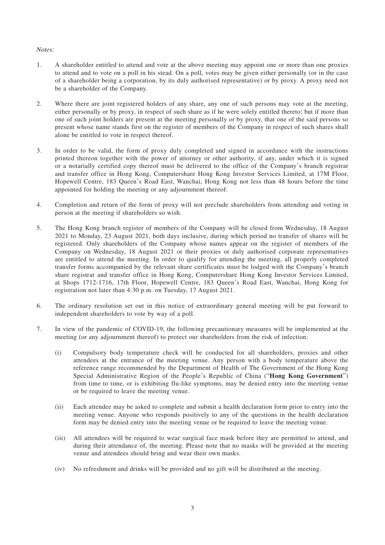#### Notes:

- 1. A shareholder entitled to attend and vote at the above meeting may appoint one or more than one proxies to attend and to vote on a poll in his stead. On a poll, votes may be given either personally (or in the case of a shareholder being a corporation, by its duly authorised representative) or by proxy. A proxy need not be a shareholder of the Company.
- 2. Where there are joint registered holders of any share, any one of such persons may vote at the meeting, either personally or by proxy, in respect of such share as if he were solely entitled thereto; but if more than one of such joint holders are present at the meeting personally or by proxy, that one of the said persons so present whose name stands first on the register of members of the Company in respect of such shares shall alone be entitled to vote in respect thereof.
- 3. In order to be valid, the form of proxy duly completed and signed in accordance with the instructions printed thereon together with the power of attorney or other authority, if any, under which it is signed or a notarially certified copy thereof must be delivered to the office of the Company's branch registrar and transfer office in Hong Kong, Computershare Hong Kong Investor Services Limited, at 17M Floor, Hopewell Centre, 183 Queen's Road East, Wanchai, Hong Kong not less than 48 hours before the time appointed for holding the meeting or any adjournment thereof.
- 4. Completion and return of the form of proxy will not preclude shareholders from attending and voting in person at the meeting if shareholders so wish.
- 5. The Hong Kong branch register of members of the Company will be closed from Wednesday, 18 August 2021 to Monday, 23 August 2021, both days inclusive, during which period no transfer of shares will be registered. Only shareholders of the Company whose names appear on the register of members of the Company on Wednesday, 18 August 2021 or their proxies or duly authorised corporate representatives are entitled to attend the meeting. In order to qualify for attending the meeting, all properly completed transfer forms accompanied by the relevant share certificates must be lodged with the Company's branch share registrar and transfer office in Hong Kong, Computershare Hong Kong Investor Services Limited, at Shops 1712-1716, 17th Floor, Hopewell Centre, 183 Queen's Road East, Wanchai, Hong Kong for registration not later than 4:30 p.m. on Tuesday, 17 August 2021.
- 6. The ordinary resolution set out in this notice of extraordinary general meeting will be put forward to independent shareholders to vote by way of a poll.
- 7. In view of the pandemic of COVID-19, the following precautionary measures will be implemented at the meeting (or any adjournment thereof) to protect our shareholders from the risk of infection:
	- (i) Compulsory body temperature check will be conducted for all shareholders, proxies and other attendees at the entrance of the meeting venue. Any person with a body temperature above the reference range recommended by the Department of Health of The Government of the Hong Kong Special Administrative Region of the People's Republic of China ("**Hong Kong Government**") from time to time, or is exhibiting flu-like symptoms, may be denied entry into the meeting venue or be required to leave the meeting venue.
	- (ii) Each attendee may be asked to complete and submit a health declaration form prior to entry into the meeting venue. Anyone who responds positively to any of the questions in the health declaration form may be denied entry into the meeting venue or be required to leave the meeting venue.
	- (iii) All attendees will be required to wear surgical face mask before they are permitted to attend, and during their attendance of, the meeting. Please note that no masks will be provided at the meeting venue and attendees should bring and wear their own masks.
	- (iv) No refreshment and drinks will be provided and no gift will be distributed at the meeting.